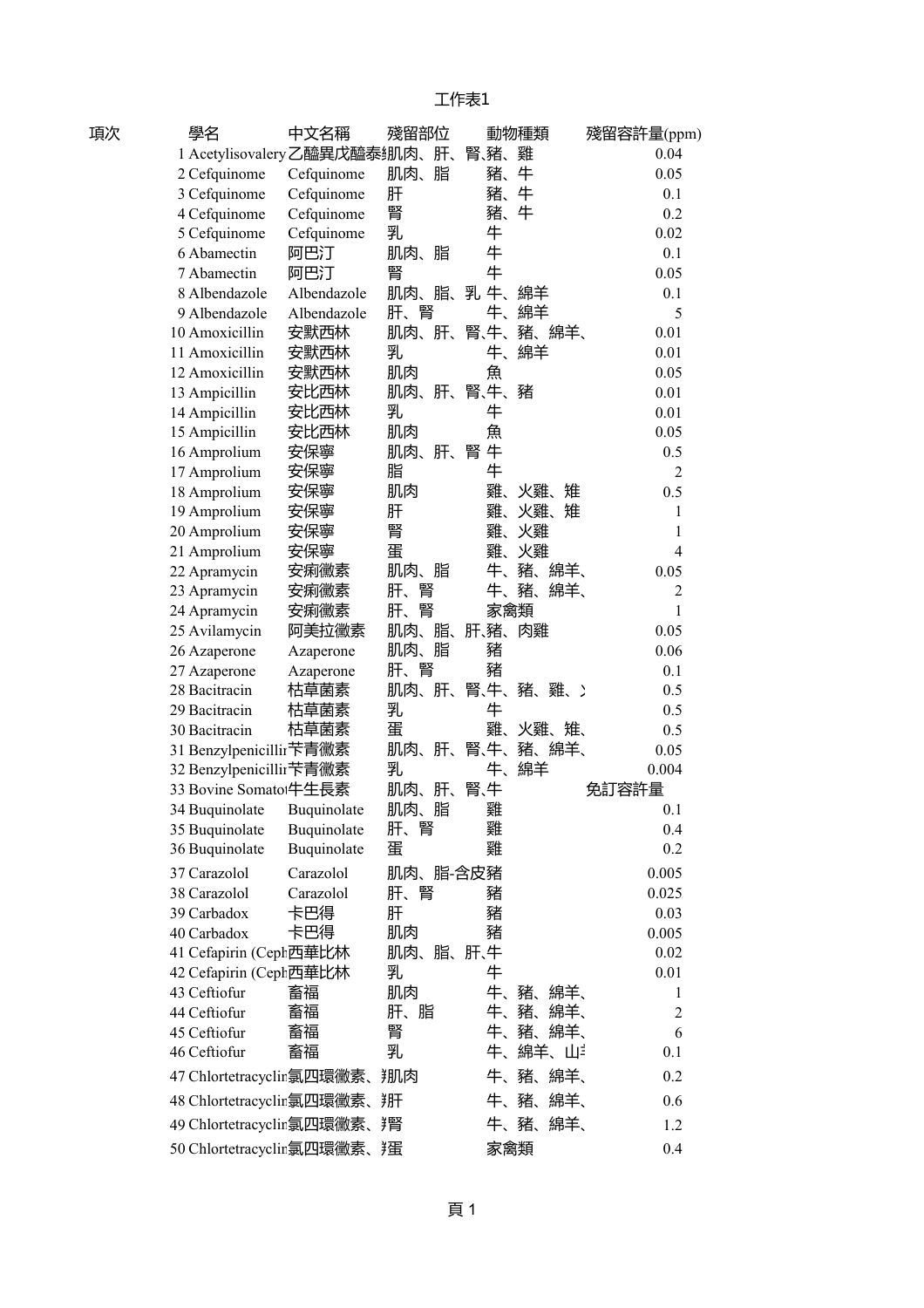| 項次 | 學名                                | 中文名稱        | 殘留部位      |        | 動物種類        | 殘留容許量(ppm)     |  |
|----|-----------------------------------|-------------|-----------|--------|-------------|----------------|--|
|    | 1 Acetylisovalery乙醯異戊醯泰绷肉、肝、      |             |           | 腎、豬、   | 雞           | 0.04           |  |
|    | 2 Cefquinome                      | Cefquinome  | 肌肉、脂      | 豬、     | 牛           | 0.05           |  |
|    | 3 Cefquinome                      | Cefquinome  | 肝         | 豬、     | 牛           | 0.1            |  |
|    | 4 Cefquinome                      | Cefquinome  | 腎         | 豬、     | 牛           | 0.2            |  |
|    | 5 Cefquinome                      | Cefquinome  | 乳         | 牛      |             | 0.02           |  |
|    | 6 Abamectin                       | 阿巴汀         | 肌肉、脂      | 牛      |             | 0.1            |  |
|    | 7 Abamectin                       | 阿巴汀         | 腎         | 牛      |             | 0.05           |  |
|    | 8 Albendazole                     | Albendazole | 肌肉、脂、     | 乳牛、    | 綿羊          | 0.1            |  |
|    | 9 Albendazole                     | Albendazole | 肝、腎       | 牛、     | 綿羊          | 5              |  |
|    | 10 Amoxicillin                    | 安默西林        | 肌肉、肝、     | 腎、牛、   | 豬、綿羊、       | 0.01           |  |
|    | 11 Amoxicillin                    | 安默西林        | 乳         | 牛、     | 綿羊          | 0.01           |  |
|    | 12 Amoxicillin                    | 安默西林        | 肌肉        | 魚      |             | 0.05           |  |
|    | 13 Ampicillin                     | 安比西林        | 肌肉、肝、     | 腎、牛、豬  |             | 0.01           |  |
|    | 14 Ampicillin                     | 安比西林        | 乳         | 牛      |             | 0.01           |  |
|    | 15 Ampicillin                     | 安比西林        | 肌肉        | 魚      |             | 0.05           |  |
|    | 16 Amprolium                      | 安保寧         | 肌肉、肝、     | 牛<br>腎 |             | 0.5            |  |
|    | 17 Amprolium                      | 安保寧         | 脂         | 牛      |             | $\overline{2}$ |  |
|    | 18 Amprolium                      | 安保寧         | 肌肉        | 雞、     | 火雞、<br>雉    | 0.5            |  |
|    | 19 Amprolium                      | 安保寧         | 肝         | 雞、     | 火雞、<br>雉    | $\mathbf{1}$   |  |
|    | 20 Amprolium                      | 安保寧         | 腎         | 雞、     | 火雞          | 1              |  |
|    | 21 Amprolium                      | 安保寧         | 蛋         | 雞、     | 火雞          | 4              |  |
|    | 22 Apramycin                      | 安痢黴素        | 肌肉、脂      | 牛、     | 豬、<br>綿羊、   | 0.05           |  |
|    | 23 Apramycin                      | 安痢黴素        | 腎<br>肝、   | 牛、     | 豬、<br>綿羊、   | $\overline{2}$ |  |
|    | 24 Apramycin                      | 安痢黴素        | 腎<br>肝、   | 家禽類    |             | 1              |  |
|    | 25 Avilamycin                     | 阿美拉黴素       | 肌肉、<br>脂、 | 肝、豬、肉雞 |             | 0.05           |  |
|    | 26 Azaperone                      | Azaperone   | 肌肉、脂      | 豬      |             | 0.06           |  |
|    | 27 Azaperone                      | Azaperone   | 肝、腎       | 豬      |             | 0.1            |  |
|    | 28 Bacitracin                     | 枯草菌素        | 肌肉、肝、     |        | 腎、牛、豬、雞、    | 0.5            |  |
|    | 29 Bacitracin                     | 枯草菌素        | 乳         | 牛      |             | 0.5            |  |
|    | 30 Bacitracin                     | 枯草菌素        | 蛋         | 雞、     | 火雞、雉、       | 0.5            |  |
|    | 31 Benzylpenicillir苄青黴素           |             | 肌肉、<br>肝、 | 腎、牛、   | 豬、綿羊、       | 0.05           |  |
|    | 32 Benzylpenicillir苄青黴素           |             | 乳         | 牛、     | 綿羊          | 0.004          |  |
|    | 33 Bovine Somato <sup>†</sup> 生長素 |             | 肌肉、肝、     | 腎、牛    |             | 免訂容許量          |  |
|    | 34 Buquinolate                    | Buquinolate | 肌肉、<br>脂  | 雞      |             | 0.1            |  |
|    | 35 Buquinolate                    | Buquinolate | 腎<br>肝、   | 雞      |             | 0.4            |  |
|    | 36 Buquinolate                    | Buquinolate | 蛋         | 雞      |             | 0.2            |  |
|    | 37 Carazolol                      | Carazolol   | 肌肉、脂-含皮豬  |        |             | 0.005          |  |
|    | 38 Carazolol                      | Carazolol   | 肝、<br>腎   | 豬      |             | 0.025          |  |
|    | 39 Carbadox                       | 卡巴得         | 肝         | 豬      |             | 0.03           |  |
|    | 40 Carbadox                       | 卡巴得         | 肌肉        | 豬      |             | 0.005          |  |
|    | 41 Cefapirin (Ceph西華比林            |             | 肌肉、脂、肝、牛  |        |             | 0.02           |  |
|    | 42 Cefapirin (Ceph西華比林            |             | 乳         | 牛      |             | 0.01           |  |
|    | 43 Ceftiofur                      | 畜福          | 肌肉        | 牛、     | 豬、<br>綿羊、   | 1              |  |
|    | 44 Ceftiofur                      | 畜福          | 肝、脂       | 牛、     | 豬、<br>綿羊、   | $\overline{2}$ |  |
|    | 45 Ceftiofur                      | 畜福          | 腎         | 牛、     | 豬、綿羊、       | 6              |  |
|    | 46 Ceftiofur                      | 畜福          | 乳         |        | 牛、綿羊、山      | 0.1            |  |
|    | 47 Chlortetracyclin氯四環黴素、         |             | 肌肉        | 牛、     | 豬、綿羊、       | 0.2            |  |
|    | 48 Chlortetracyclin氯四環黴素、排        |             |           |        | 牛、豬、綿羊、     | 0.6            |  |
|    | 49 Chlortetracyclin氯四環黴素、         |             |           |        | 牛、豬、<br>綿羊、 | 1.2            |  |
|    | 50 Chlortetracyclir氯四環黴素、适        |             |           | 家禽類    |             | 0.4            |  |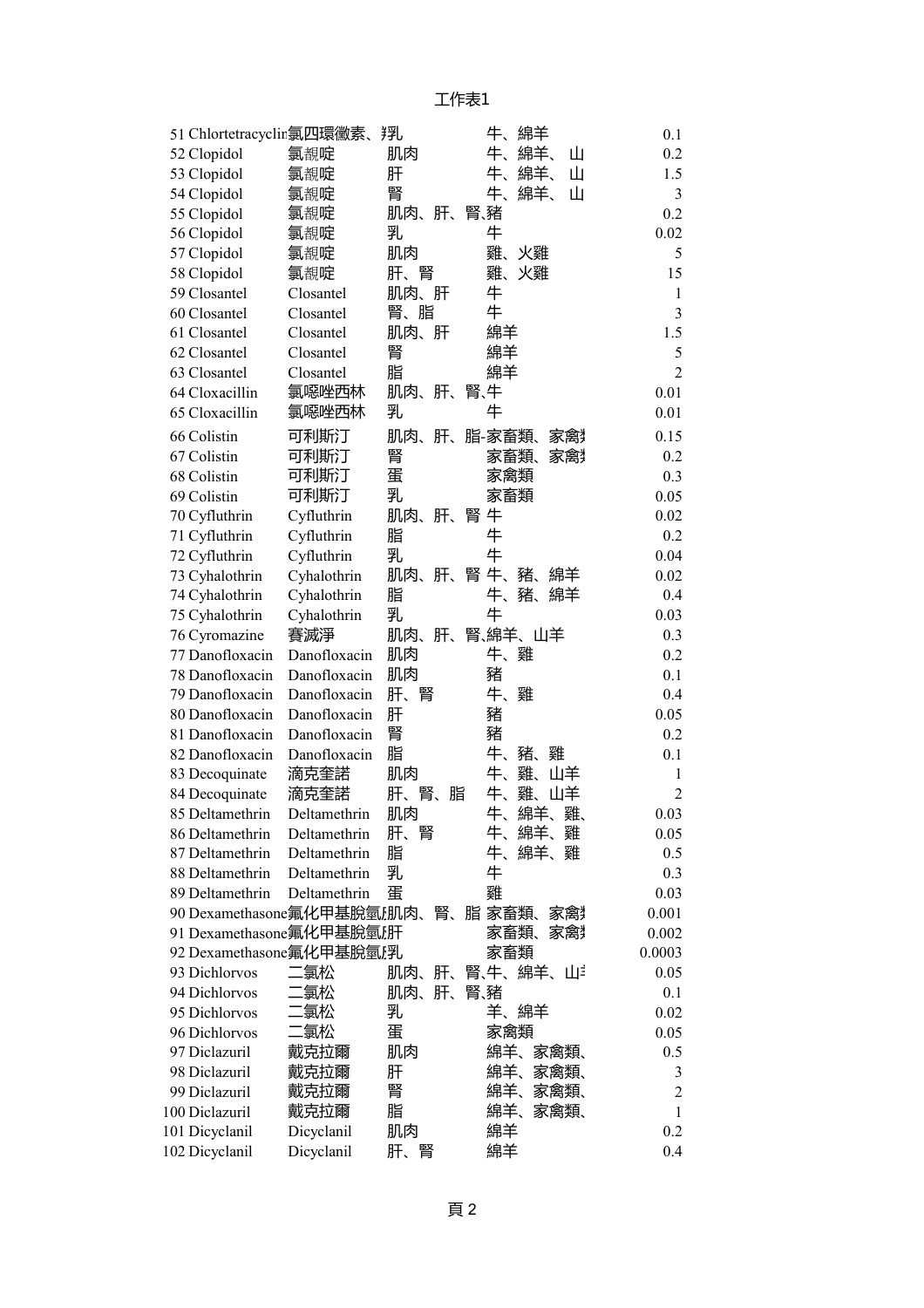| 51 Chlortetracyclin氯四環黴素、                              |                              | 翔              | 牛、<br>綿羊                   | 0.1              |
|--------------------------------------------------------|------------------------------|----------------|----------------------------|------------------|
| 52 Clopidol                                            | 氯覩啶                          | 肌肉             | 牛、<br>綿羊、<br>Ш             | 0.2              |
| 53 Clopidol                                            | 氯覩啶                          | 肝              | 牛、<br>綿羊、<br>Ш             | 1.5              |
| 54 Clopidol                                            | 氯覩啶                          | 腎              | 牛、<br>綿羊、<br>Ш             | 3                |
| 55 Clopidol                                            | 氯覩啶                          | 肌肉、<br>肝、      | 腎、豬                        | 0.2              |
| 56 Clopidol                                            | 氯覩啶                          | 乳              | 牛                          | 0.02             |
| 57 Clopidol                                            | 氯覩啶                          | 肌肉             | 雞、<br>火雞                   | 5                |
| 58 Clopidol                                            | 氯覩啶                          | 肝、腎            | 雞、<br>火雞                   | 15               |
| 59 Closantel                                           | Closantel                    | 肌肉、肝           | 牛                          | 1                |
| 60 Closantel                                           | Closantel                    | 腎、脂            | 牛                          | 3                |
| 61 Closantel                                           | Closantel                    | 肌肉、<br>肝       | 綿羊                         | 1.5              |
| 62 Closantel                                           | Closantel                    | 腎              | 綿羊                         | 5                |
| 63 Closantel                                           | Closantel                    | 脂              | 綿羊                         | $\overline{2}$   |
| 64 Cloxacillin                                         | 氯噁唑西林                        | 肌肉、<br>肝、      | 腎、牛                        | 0.01             |
| 65 Cloxacillin                                         | 氯噁唑西林                        | 乳              | 牛                          | 0.01             |
| 66 Colistin                                            | 可利斯汀                         | 肌肉、<br>肝、      | 脂-家畜類、<br>冢篱               | 0.15             |
| 67 Colistin                                            | 可利斯汀                         | 腎              | 家畜類、<br>家禽                 | 0.2              |
| 68 Colistin                                            | 可利斯汀                         | 蛋              | 家禽類                        | 0.3              |
| 69 Colistin                                            | 可利斯汀                         | 乳              | 家畜類                        | 0.05             |
| 70 Cyfluthrin                                          | Cyfluthrin                   | 肌肉、<br>肝、      | 腎 牛                        | 0.02             |
| 71 Cyfluthrin                                          | Cyfluthrin                   | 脂              | 牛                          | 0.2              |
| 72 Cyfluthrin                                          | Cyfluthrin                   | 乳              | 牛                          | 0.04             |
| 73 Cyhalothrin                                         | Cyhalothrin                  | 肌肉、<br>腎<br>肝、 | 牛、<br>豬、<br>綿羊             | 0.02             |
| 74 Cyhalothrin                                         | Cyhalothrin                  | 脂              | 牛、<br>豬、<br>綿羊             | 0.4              |
| 75 Cyhalothrin                                         | Cyhalothrin                  | 乳              | 牛                          | 0.03             |
| 76 Cyromazine                                          | 賽滅淨                          | 肌肉、<br>肝、      | 腎、綿羊、山羊                    | 0.3              |
| 77 Danofloxacin                                        | Danofloxacin                 | 肌肉             | 雞<br>牛、                    | 0.2              |
| 78 Danofloxacin                                        | Danofloxacin                 | 肌肉             | 豬                          | 0.1              |
| 79 Danofloxacin                                        | Danofloxacin                 | 肝、<br>腎        | 牛、<br>雞                    | 0.4              |
| 80 Danofloxacin                                        | Danofloxacin                 | 肝              | 豬                          | 0.05             |
| 81 Danofloxacin                                        | Danofloxacin                 | 腎              | 豬                          | 0.2              |
| 82 Danofloxacin                                        | Danofloxacin                 | 脂              | 牛、<br>豬、<br>雞              | 0.1              |
| 83 Decoquinate                                         | 滴克奎諾                         | 肌肉             | 牛、<br>雞、<br>山羊             | 1                |
| 84 Decoquinate                                         | 滴克奎諾                         | 肝、<br>腎、<br>脂  | 牛、<br>雞、<br>山羊             | $\overline{2}$   |
| 85 Deltamethrin                                        | Deltamethrin                 | 肌肉             | 牛、<br>綿羊、<br>雞、            | 0.03             |
| 86 Deltamethrin                                        | Deltamethrin                 | 腎<br>肝、        | 綿羊、<br>牛、<br>雞             | 0.05             |
| 87 Deltamethrin                                        | Deltamethrin                 | 脂              | 牛、<br>綿羊、雞<br>牛            | $0.5\,$          |
| 88 Deltamethrin                                        | Deltamethrin<br>Deltamethrin | 乳              |                            | 0.3              |
| 89 Deltamethrin                                        |                              | 蛋              | 雞                          | 0.03             |
| 90 Dexamethasone氟化甲基脫氫,肌肉、<br>91 Dexamethasone氟化甲基脫氫,肝 |                              | 腎、             | 脂 家畜類、<br>家禽<br>家畜類、<br>家禽 | 0.001<br>0.002   |
| 92 Dexamethasone氟化甲基脫氫<br>                             |                              |                | 家畜類                        | 0.0003           |
| 93 Dichlorvos                                          | 氯松                           | 肌肉、<br>肝、      | 腎、牛、綿羊、山ジ                  | 0.05             |
| 94 Dichlorvos                                          | 氯松                           | 肝、<br>肌肉、      | 腎、豬                        | 0.1              |
| 95 Dichlorvos                                          | 氯松                           | 乳              | 羊、<br>綿羊                   | 0.02             |
| 96 Dichlorvos                                          | 氯松                           | 蛋              | 家禽類                        | 0.05             |
| 97 Diclazuril                                          | 戴克拉爾                         | 肌肉             | 綿羊、<br>家禽類、                | 0.5              |
| 98 Diclazuril                                          | 戴克拉爾                         | 肝              | 綿羊、<br>家禽類、                | 3                |
| 99 Diclazuril                                          | 戴克拉爾                         | 腎              | 綿羊、<br>家禽類、                | $\boldsymbol{2}$ |
| 100 Diclazuril                                         | 戴克拉爾                         | 脂              | 綿羊、<br>家禽類、                | $\mathbf{1}$     |
| 101 Dicyclanil                                         | Dicyclanil                   | 肌肉             | 綿羊                         | 0.2              |
| 102 Dicyclanil                                         | Dicyclanil                   | 肝、<br>腎        | 綿羊                         | 0.4              |
|                                                        |                              |                |                            |                  |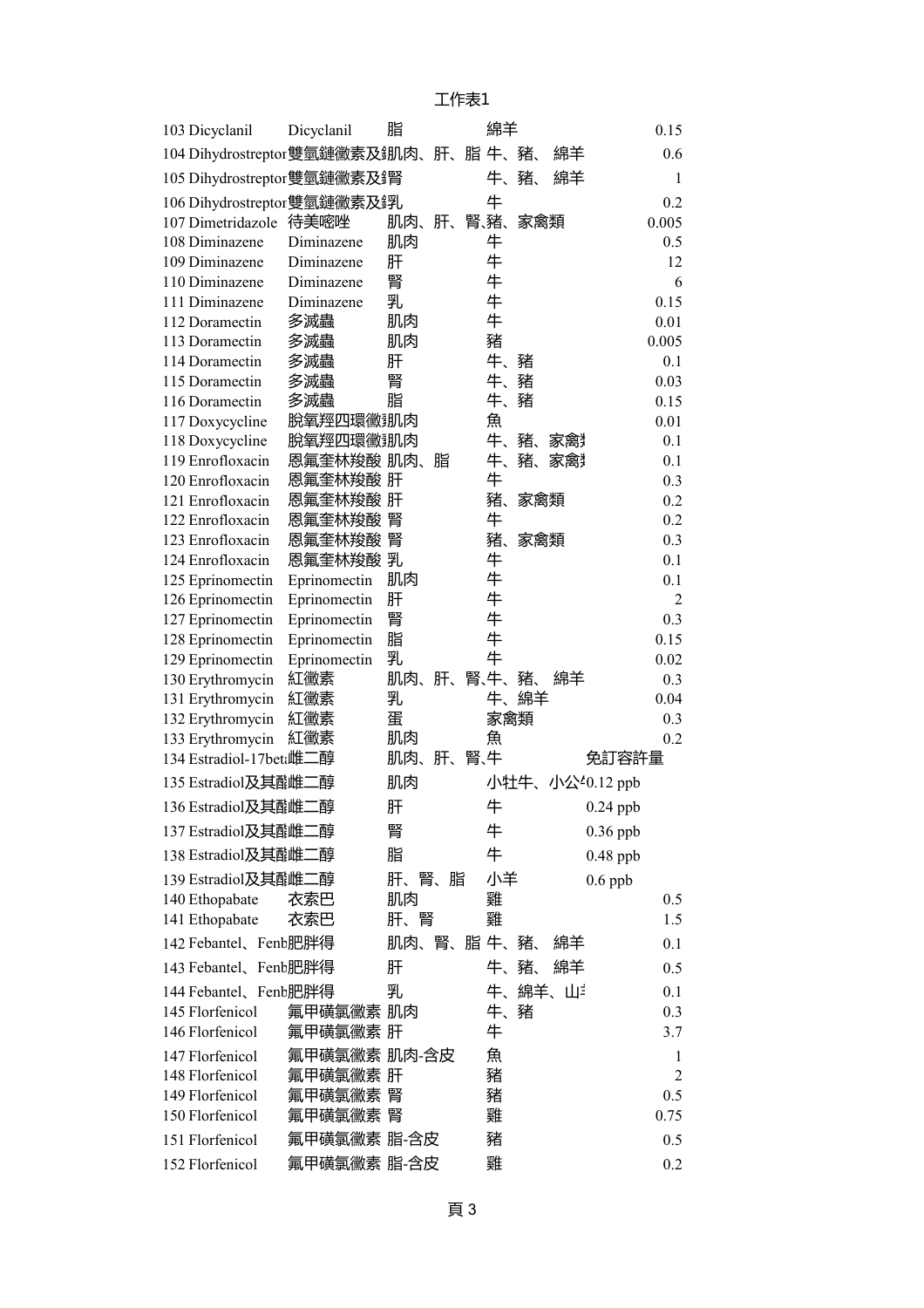| 103 Dicyclanil                 | Dicyclanil   | 脂     |    |     | 綿羊     |     |        |                 | 0.15           |
|--------------------------------|--------------|-------|----|-----|--------|-----|--------|-----------------|----------------|
| 104 Dihydrostreptor雙氫鏈黴素及訊肉、肝、 |              |       |    |     | 脂 牛、豬、 |     | 綿羊     |                 | 0.6            |
| 105 Dihydrostreptor雙氫鏈黴素及貨     |              |       |    |     | 牛、豬、   |     | 綿羊     |                 | 1              |
| 106 Dihydrostreptor 雙氫鏈黴素及鋢し   |              |       |    |     | 牛      |     |        |                 | 0.2            |
| 107 Dimetridazole              | 待美嘧唑         | 肌肉、肝、 |    |     | 腎、猪、   | 家禽類 |        |                 | 0.005          |
| 108 Diminazene                 | Diminazene   | 肌肉    |    |     | 牛      |     |        |                 | 0.5            |
| 109 Diminazene                 | Diminazene   | 肝     |    |     | 牛      |     |        |                 | 12             |
| 110 Diminazene                 | Diminazene   | 腎     |    |     | 牛      |     |        |                 | 6              |
| 111 Diminazene                 | Diminazene   | 乳     |    |     | 牛      |     |        |                 | 0.15           |
| 112 Doramectin                 | 多滅蟲          | 肌肉    |    |     | 牛      |     |        |                 | 0.01           |
| 113 Doramectin                 | 多滅蟲          | 肌肉    |    |     | 豬      |     |        |                 | 0.005          |
| 114 Doramectin                 | 多滅蟲          | 肝     |    |     | 牛、     | 豬   |        |                 | 0.1            |
| 115 Doramectin                 | 多滅蟲          | 腎     |    |     | 牛、     | 豬   |        |                 | 0.03           |
| 116 Doramectin                 | 多滅蟲          | 脂     |    |     | 牛、     | 豬   |        |                 | 0.15           |
| 117 Doxycycline                | 脫氧羥四環黴訓肉     |       |    |     | 魚      |     |        |                 | 0.01           |
| 118 Doxycycline                | 脫氧羥四環黴 肌肉    |       |    |     | 牛、     | 豬、  | 冢篱     |                 | 0.1            |
| 119 Enrofloxacin               | 恩氟奎林羧酸 肌肉、   |       | 脂  |     | 牛、     | 豬、  | 家禽     |                 | 0.1            |
| 120 Enrofloxacin               | 恩氟奎林羧酸 肝     |       |    |     | 牛      |     |        |                 | 0.3            |
| 121 Enrofloxacin               | 恩氟奎林羧酸 肝     |       |    |     | 豬、     | 家禽類 |        |                 | 0.2            |
| 122 Enrofloxacin               | 恩氟奎林羧酸 腎     |       |    |     | 牛      |     |        |                 | 0.2            |
| 123 Enrofloxacin               | 恩氟奎林羧酸 腎     |       |    |     | 豬、     | 家禽類 |        |                 | 0.3            |
| 124 Enrofloxacin               | 恩氟奎林羧酸 乳     |       |    |     | 牛      |     |        |                 | 0.1            |
| 125 Eprinomectin               | Eprinomectin | 肌肉    |    |     | 牛      |     |        |                 | 0.1            |
| 126 Eprinomectin               | Eprinomectin | 肝     |    |     | 牛      |     |        |                 | $\overline{2}$ |
| 127 Eprinomectin               | Eprinomectin | 腎     |    |     | 牛      |     |        |                 | 0.3            |
| 128 Eprinomectin               | Eprinomectin | 脂     |    |     | 牛      |     |        |                 | 0.15           |
| 129 Eprinomectin               | Eprinomectin | 乳     |    |     | 牛      |     |        |                 | 0.02           |
| 130 Erythromycin               | 紅黴素          | 肌肉、   | 肝、 |     | 腎、牛、   | 豬、  | 綿羊     |                 | 0.3            |
| 131 Erythromycin               | 紅黴素          | 乳     |    |     | 牛、     | 綿羊  |        |                 | 0.04           |
| 132 Erythromycin               | 紅黴素          | 蛋     |    |     | 家禽類    |     |        |                 | 0.3            |
| 133 Erythromycin               | 紅黴素          | 肌肉    |    |     | 魚      |     |        |                 | 0.2            |
| 134 Estradiol-17beti雌二醇        |              | 肌肉、   | 肝、 | 腎、牛 |        |     |        | 免訂容許量           |                |
| 135 Estradiol及其配雌二醇            |              | 肌肉    |    |     |        |     |        | 小牡牛、小公40.12 ppb |                |
| 136 Estradiol及其配雌.             | 醇            | 肝     |    |     | 牛      |     |        | $0.24$ ppb      |                |
| 137 Estradiol及其配雌二醇            |              | 腎     |    |     | 牛      |     |        | $0.36$ ppb      |                |
| 138 Estradiol及其配雌二醇            |              | 脂     |    |     | 牛      |     |        | $0.48$ ppb      |                |
| 139 Estradiol及其配雌二醇            |              | 肝、腎、脂 |    |     | 小羊     |     |        | $0.6$ ppb       |                |
| 140 Ethopabate                 | 衣索巴          | 肌肉    |    |     | 雞      |     |        |                 | 0.5            |
| 141 Ethopabate                 | 衣索巴          | 肝、腎   |    |     | 雞      |     |        |                 | 1.5            |
| 142 Febantel、Fenb肥胖得           |              | 肌肉、腎、 |    |     | 脂牛、    | 豬、  | 綿羊     |                 | 0.1            |
| 143 Febantel、Fenb肥胖得           |              | 肝     |    |     | 牛、豬、   |     | 綿羊     |                 | 0.5            |
| 144 Febantel、Fenb肥胖得           |              | 乳     |    |     |        |     | 牛、綿羊、山 |                 | 0.1            |
| 145 Florfenicol                | 氟甲磺氯黴素 肌肉    |       |    |     | 牛、豬    |     |        |                 | 0.3            |
| 146 Florfenicol                | 氟甲磺氯黴素 肝     |       |    |     | 牛      |     |        |                 | 3.7            |
| 147 Florfenicol                | 氟甲磺氯黴素 肌肉-含皮 |       |    |     | 魚      |     |        |                 | 1              |
| 148 Florfenicol                | 氟甲磺氯黴素 肝     |       |    |     | 豬      |     |        |                 | $\overline{2}$ |
| 149 Florfenicol                | 氟甲磺氯黴素       | 腎     |    |     | 豬      |     |        |                 | 0.5            |
| 150 Florfenicol                | 氟甲磺氯黴素 腎     |       |    |     | 雞      |     |        |                 | 0.75           |
| 151 Florfenicol                | 氟甲磺氯黴素 脂-含皮  |       |    |     | 豬      |     |        |                 | 0.5            |
| 152 Florfenicol                | 氟甲磺氯黴素 脂-含皮  |       |    |     | 雞      |     |        |                 | 0.2            |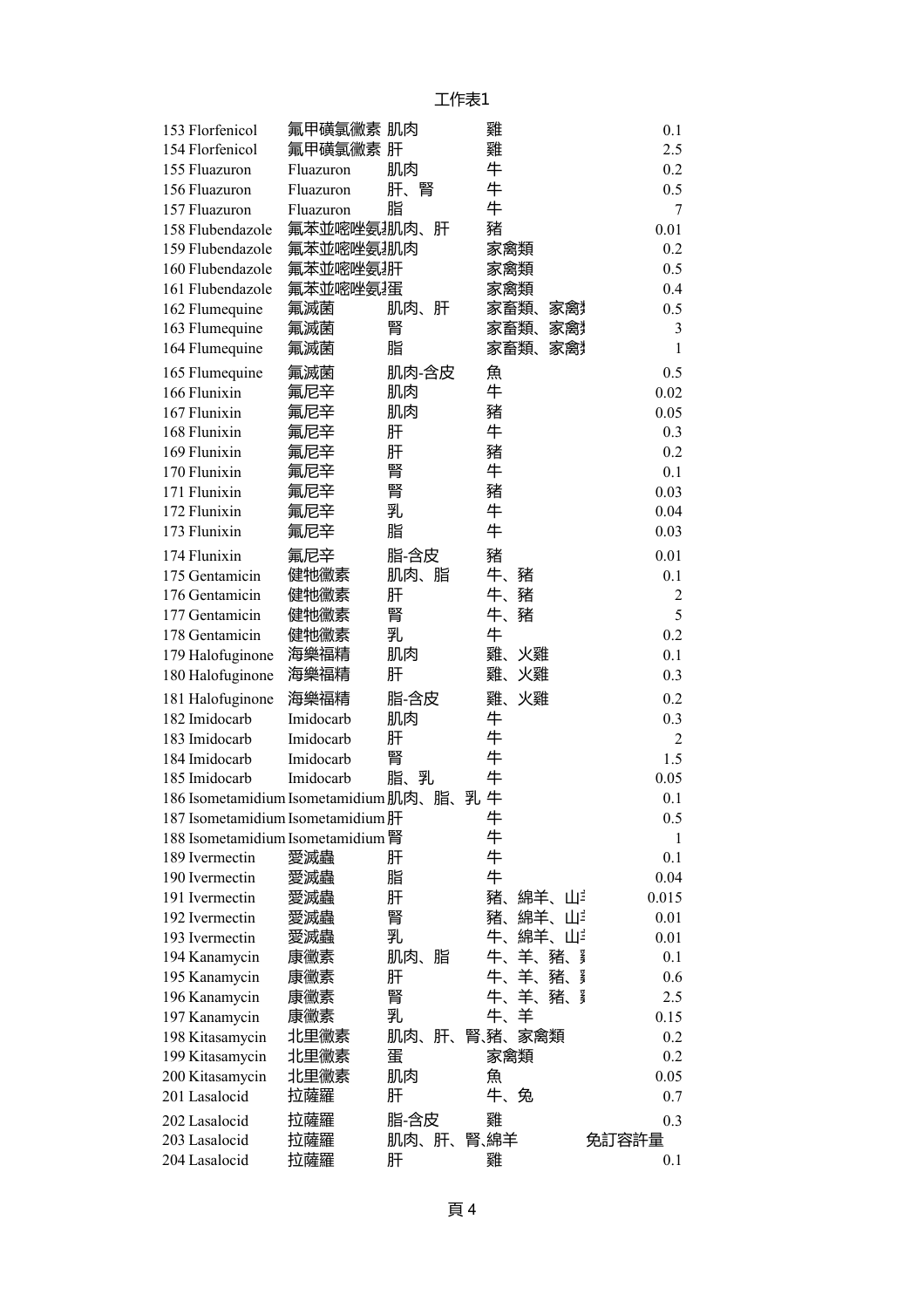| 153 Florfenicol                       | 氟甲磺氯黴素 肌肉  |           | 雞               | 0.1            |
|---------------------------------------|------------|-----------|-----------------|----------------|
| 154 Florfenicol                       | 氟甲磺氯黴素 肝   |           | 雞               | 2.5            |
| 155 Fluazuron                         | Fluazuron  | 肌肉        | 牛               | 0.2            |
| 156 Fluazuron                         | Fluazuron  | 肝、腎       | 牛               | 0.5            |
| 157 Fluazuron                         | Fluazuron  | 脂         | 牛               | 7              |
| 158 Flubendazole                      | 氟苯並嘧唑氨.肌肉、 | 肝         | 豬               | 0.01           |
| 159 Flubendazole                      | 氟苯並嘧唑氨排购   |           | 家禽類             | 0.2            |
| 160 Flubendazole                      | 氟苯並嘧唑氨排    |           | 家禽類             | 0.5            |
| 161 Flubendazole                      | 氟苯並嘧唑氨,蛋   |           | 家禽類             | 0.4            |
| 162 Flumequine                        | 氟滅菌        | 肝<br>肌肉、  | 家畜類、<br>家禽      | 0.5            |
| 163 Flumequine                        | 氟滅菌        | 腎         | 家畜類、<br>家禽      | 3              |
| 164 Flumequine                        | 氟滅菌        | 脂         | 家畜類、<br>家禽      | $\mathbf{1}$   |
| 165 Flumequine                        | 氟滅菌        | 肌肉-含皮     | 魚               | 0.5            |
| 166 Flunixin                          | 氟尼辛        | 肌肉        | 牛               | 0.02           |
| 167 Flunixin                          | 氟尼辛        | 肌肉        | 豬               | 0.05           |
| 168 Flunixin                          | 氟尼辛        | 肝         | 牛               | 0.3            |
| 169 Flunixin                          | 氟尼辛        | 肝         | 豬               | 0.2            |
| 170 Flunixin                          | 氟尼辛        | 腎         | 牛               | 0.1            |
| 171 Flunixin                          | 氟尼辛        | 腎         | 豬               | 0.03           |
| 172 Flunixin                          | 氟尼辛        | 乳         | 牛               | 0.04           |
| 173 Flunixin                          | 氟尼辛        | 脂         | 牛               | 0.03           |
| 174 Flunixin                          | 氟尼辛        | 脂-含皮      | 豬               | 0.01           |
| 175 Gentamicin                        | 健牠黴素       | 肌肉、脂      | 牛、<br>豬         | 0.1            |
| 176 Gentamicin                        | 健牠黴素       | 肝         | 牛、<br>豬         | $\overline{2}$ |
| 177 Gentamicin                        | 健牠黴素       | 腎         | 牛、<br>豬         | 5              |
| 178 Gentamicin                        | 健牠黴素       | 乳         | 牛               | 0.2            |
| 179 Halofuginone                      | 海樂福精       | 肌肉        | 雞、<br>火雞        | 0.1            |
| 180 Halofuginone                      | 海樂福精       | 肝         | 雞、<br>火雞        | 0.3            |
| 181 Halofuginone                      | 海樂福精       | 脂-含皮      | 雞、<br>火雞        | 0.2            |
| 182 Imidocarb                         | Imidocarb  | 肌肉        | 牛               | 0.3            |
| 183 Imidocarb                         | Imidocarb  | 肝         | 牛               | 2              |
| 184 Imidocarb                         | Imidocarb  | 腎         | 牛               | 1.5            |
| 185 Imidocarb                         | Imidocarb  | 脂、乳       | 牛               | 0.05           |
| 186 Isometamidium Isometamidium 肌肉、脂、 |            |           | 乳牛              | 0.1            |
| 187 Isometamidium Isometamidium 肝     |            |           | 牛               | 0.5            |
| 188 Isometamidium Isometamidium 腎     |            |           | 牛               | 1              |
| 189 Ivermectin                        | 愛滅蟲        | 肝         | 牛               | 0.1            |
| 190 Ivermectin                        | 愛滅蟲        | 脂         | 牛               | 0.04           |
| 191 Ivermectin                        | 愛滅蟲        | 肝         | 豬、<br>綿羊、山      | 0.015          |
| 192 Ivermectin                        | 愛滅蟲        | 腎         | 豬、<br>綿羊、<br>Ш٤ | 0.01           |
| 193 Ivermectin                        | 愛滅蟲        | 乳         | 牛、<br>綿羊、<br>Ш٤ | 0.01           |
| 194 Kanamycin                         | 康黴素        | 肌肉、<br>脂  | 牛、<br>羊、<br>豬、  | 星<br>0.1       |
| 195 Kanamycin                         | 康黴素        | 肝         | 羊、<br>牛、<br>豬、  | ł<br>0.6       |
| 196 Kanamycin                         | 康黴素        | 腎         | 羊、<br>牛、<br>豬、  | 3<br>2.5       |
| 197 Kanamycin                         | 康黴素        | 乳         | 羊<br>牛、         | 0.15           |
| 198 Kitasamycin                       | 北里黴素       | 肌肉、<br>肝、 | 腎、豬、<br>家禽類     | 0.2            |
| 199 Kitasamycin                       | 北里黴素       | 蛋         | 家禽類             | 0.2            |
| 200 Kitasamycin                       | 北里黴素       | 肌肉        | 魚               | 0.05           |
| 201 Lasalocid                         | 拉薩羅        | 肝         | 牛、兔             | 0.7            |
| 202 Lasalocid                         | 拉薩羅        | 脂-含皮      | 雞               | 0.3            |
| 203 Lasalocid                         | 拉薩羅        | 肌肉、肝、     | 腎、綿羊            | 免訂容許量          |
| 204 Lasalocid                         | 拉薩羅        | 肝         | 雞               | 0.1            |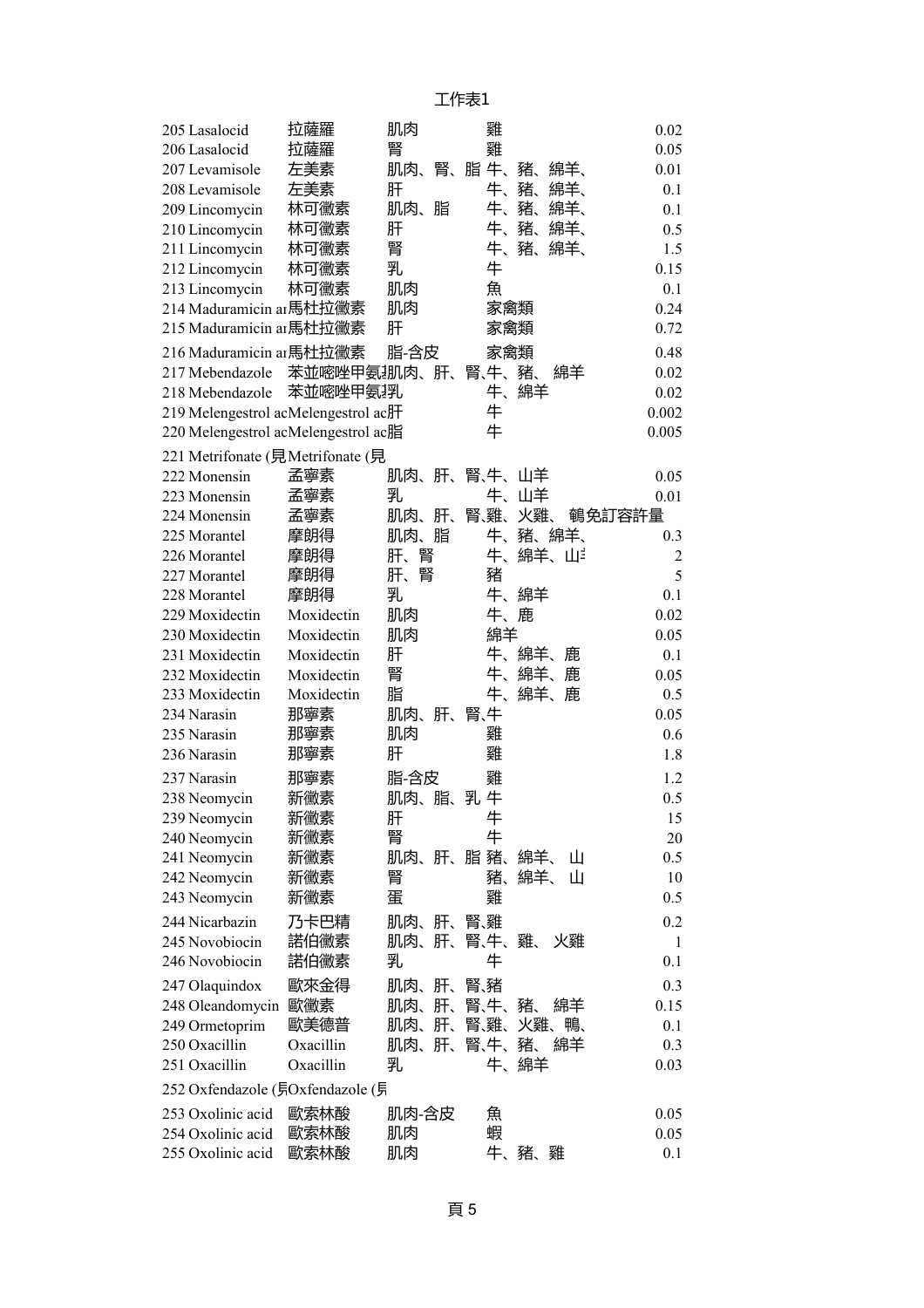| 205 Lasalocid                       | 拉薩羅         | 肌肉        | 雞                  | 0.02           |
|-------------------------------------|-------------|-----------|--------------------|----------------|
| 206 Lasalocid                       | 拉薩羅         | 腎         | 雞                  | 0.05           |
| 207 Levamisole                      | 左美素         | 肌肉、       | 腎、脂牛、<br>豬、<br>綿羊、 | 0.01           |
| 208 Levamisole                      | 左美素         | 肝         | 牛、<br>豬、<br>綿羊、    | 0.1            |
| 209 Lincomycin                      | 林可黴素        | 肌肉、<br>脂  | 牛、<br>豬、<br>綿羊、    | 0.1            |
| 210 Lincomycin                      | 林可黴素        | 肝         | 牛、<br>豬、<br>綿羊、    | 0.5            |
| 211 Lincomycin                      | 林可黴素        | 腎         | 牛、豬、<br>綿羊、        | 1.5            |
| 212 Lincomycin                      | 林可黴素        | 乳         | 牛                  | 0.15           |
| 213 Lincomycin                      | 林可黴素        | 肌肉        | 魚                  | 0.1            |
| 214 Maduramicin ar 馬杜拉黴素            |             | 肌肉        | 家禽類                | 0.24           |
| 215 Maduramicin ar 馬杜拉黴素            |             | 肝         | 家禽類                | 0.72           |
| 216 Maduramicin ar馬杜拉黴素             |             | 脂-含皮      | 家禽類                | 0.48           |
| 217 Mebendazole                     | 苯並嘧唑甲氨排内、肝、 |           | 腎、牛、豬、<br>綿羊       | 0.02           |
| 218 Mebendazole                     | 苯並嘧唑甲氨.乳    |           | 牛、綿羊               | 0.02           |
| 219 Melengestrol acMelengestrol ac肝 |             |           | 牛                  | 0.002          |
| 220 Melengestrol acMelengestrol ac脂 |             |           | 牛                  | 0.005          |
| 221 Metrifonate (見Metrifonate (見    |             |           |                    |                |
|                                     | 孟寧素         |           |                    |                |
| 222 Monensin                        |             | 肝、<br>肌肉、 | 腎、牛、山羊             | 0.05           |
| 223 Monensin                        | 孟寧素         | 乳         | 牛、山羊<br>腎雞、        | 0.01           |
| 224 Monensin                        | 孟寧素         | 肌肉、肝、     | 火雞、                | 鵪免訂容許量         |
| 225 Morantel                        | 摩朗得         | 肌肉、脂      | 牛、豬、綿羊、            | 0.3            |
| 226 Morantel                        | 摩朗得         | 肝、腎       | 牛、<br>綿羊、山         | $\overline{2}$ |
| 227 Morantel                        | 摩朗得         | 肝、腎       | 豬                  | 5              |
| 228 Morantel                        | 摩朗得         | 乳         | 牛、<br>綿羊           | 0.1            |
| 229 Moxidectin                      | Moxidectin  | 肌肉        | 牛、鹿                | 0.02           |
| 230 Moxidectin                      | Moxidectin  | 肌肉        | 綿羊                 | 0.05           |
| 231 Moxidectin                      | Moxidectin  | 肝         | 牛、綿羊、<br>鹿         | 0.1            |
| 232 Moxidectin                      | Moxidectin  | 腎         | 牛、<br>綿羊、<br>鹿     | 0.05           |
| 233 Moxidectin                      | Moxidectin  | 脂         | 牛、<br>綿羊、鹿         | 0.5            |
| 234 Narasin                         | 那寧素         | 肌肉、肝、     | 腎、牛                | 0.05           |
| 235 Narasin                         | 那寧素         | 肌肉        | 雞                  | 0.6            |
| 236 Narasin                         | 那寧素         | 肝         | 雞                  | 1.8            |
| 237 Narasin                         | 那寧素         | 脂-含皮      | 雞                  | 1.2            |
| 238 Neomycin                        | 新黴素         | 肌肉、脂、     | 乳牛                 | 0.5            |
| 239 Neomycin                        | 新黴素         | 肝         | 牛                  | 15             |
| 240 Neomycin                        | 新黴素         | 腎         | 牛                  | 20             |
| 241 Neomycin                        | 新黴素         | 肌肉、       | 肝、脂豬、<br>綿羊、<br>Ш  | 0.5            |
| 242 Neomycin                        | 新黴素         | 腎         | 綿羊、<br>Ш<br>豬、     | 10             |
| 243 Neomycin                        | 新黴素         | 蛋         | 雞                  | 0.5            |
| 244 Nicarbazin                      | 乃卡巴精        | 肝、<br>肌肉、 | 腎雞                 | 0.2            |
| 245 Novobiocin                      | 諾伯黴素        | 肝、<br>肌肉、 | 腎、牛、雞、<br>火雞       | 1              |
| 246 Novobiocin                      | 諾伯黴素        | 乳         | 牛                  | 0.1            |
| 247 Olaquindox                      | 歐來金得        | 肌肉、<br>肝、 | 腎緒                 | 0.3            |
| 248 Oleandomycin                    | 歐黴素         | 肝、<br>肌肉、 | 腎、牛、<br>豬、<br>綿羊   | 0.15           |
| 249 Ormetoprim                      | 歐美德普        | 肌肉、<br>肝、 | 腎、雞、<br>火雞、<br>鴨、  | 0.1            |
| 250 Oxacillin                       | Oxacillin   | 肝、<br>肌肉、 | 腎、牛、<br>綿羊<br>豬、   | 0.3            |
| 251 Oxacillin                       | Oxacillin   | 乳         | 牛、<br>綿羊           | 0.03           |
|                                     |             |           |                    |                |
| 252 Oxfendazole (見Oxfendazole (見    |             |           |                    |                |
| 253 Oxolinic acid                   | 歐索林酸        | 肌肉-含皮     | 魚                  | 0.05           |
| 254 Oxolinic acid                   | 歐索林酸        | 肌肉        | 蝦                  | 0.05           |
| 255 Oxolinic acid                   | 歐索林酸        | 肌肉        | 牛、豬、雞              | 0.1            |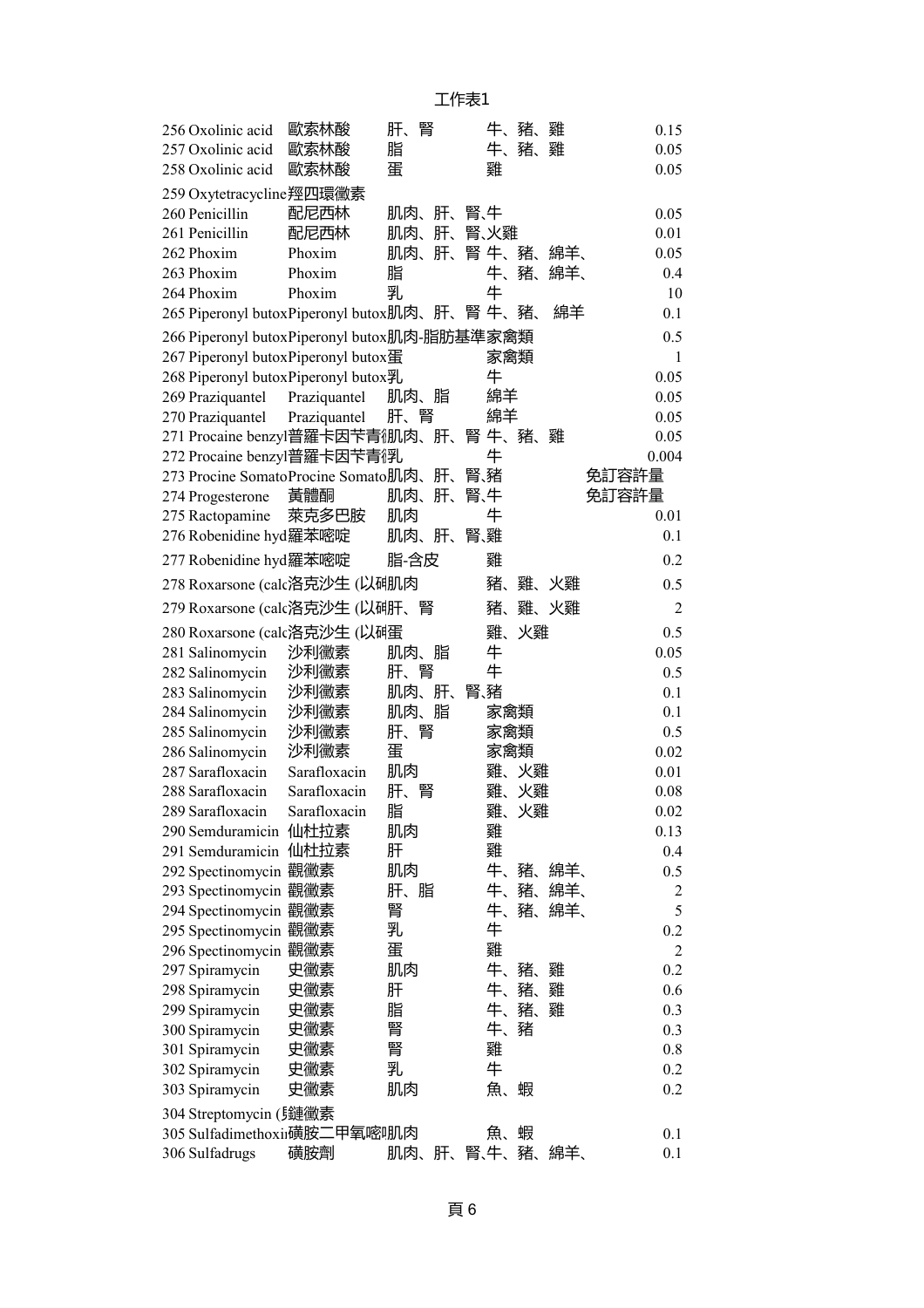| 256 Oxolinic acid                             | 歐索林酸         | 肝、<br>腎        |        | 牛、豬、雞   | 0.15           |
|-----------------------------------------------|--------------|----------------|--------|---------|----------------|
| 257 Oxolinic acid                             | 歐索林酸         | 脂              |        | 牛、豬、雞   | 0.05           |
| 258 Oxolinic acid                             | 歐索林酸         | 蛋              | 雞      |         | 0.05           |
| 259 Oxytetracycline羥四環黴素                      |              |                |        |         |                |
| 260 Penicillin                                | 配尼西林         | 肌肉、肝、          | 腎、牛    |         | 0.05           |
| 261 Penicillin                                | 配尼西林         | 肌肉、<br>肝、      | 腎、火雞   |         | 0.01           |
| 262 Phoxim                                    | Phoxim       | 肌肉、<br>肝、      | 腎 牛、豬、 |         | 綿羊、<br>0.05    |
| 263 Phoxim                                    | Phoxim       | 脂              | 牛、     | 豬、      | 綿羊、<br>0.4     |
| 264 Phoxim                                    | Phoxim       | 乳              | 牛      |         | 10             |
| 265 Piperonyl butoxPiperonyl butox肌肉、肝、腎 牛、豬、 |              |                |        |         | 綿羊<br>0.1      |
| 266 Piperonyl butoxPiperonyl butox肌肉-脂肪基準家禽類  |              |                |        |         | 0.5            |
| 267 Piperonyl butox Piperonyl butox蛋          |              |                |        | 家禽類     | $\mathbf{1}$   |
| 268 Piperonyl butox Piperonyl butox乳          |              |                | 牛      |         | 0.05           |
| 269 Praziquantel Praziquantel                 |              | 肌肉、脂           | 綿羊     |         | 0.05           |
| 270 Praziquantel                              | Praziquantel | 肝、腎            | 綿羊     |         | 0.05           |
| 271 Procaine benzyl普羅卡因苄青御J肉、肝、               |              |                |        | 腎牛、豬、雞  | 0.05           |
| 272 Procaine benzyl普羅卡因苄青俘儿                   |              |                | 牛      |         | 0.004          |
| 273 Procine Somato Procine Somato肌肉、肝、        |              |                | 腎、豬    |         | 免訂容許量          |
| 274 Progesterone                              | 黃體酮          | 肌肉、<br>肝、      | 腎、牛    |         | 免訂容許量          |
| 275 Ractopamine                               | 萊克多巴胺        | 肌肉             | 牛      |         | 0.01           |
| 276 Robenidine hyd 羅苯嘧啶                       |              | 肌肉、肝、          | 腎雞     |         | 0.1            |
| 277 Robenidine hyd 羅苯嘧啶                       |              | 脂-含皮           | 雞      |         | 0.2            |
| 278 Roxarsone (calc洛克沙生 (以砷肌肉                 |              |                | 豬、     | 雞、火雞    | 0.5            |
| 279 Roxarsone (calc洛克沙生 (以研肝、腎                |              |                | 豬、     | 雞、火雞    | $\overline{2}$ |
| 280 Roxarsone (calc洛克沙生 (以码蛋                  |              |                | 雞、     | 火雞      | 0.5            |
| 281 Salinomycin                               | 沙利黴素         | 肌肉、脂           | 牛      |         | 0.05           |
| 282 Salinomycin                               | 沙利黴素         | 肝、腎            | 牛      |         | 0.5            |
| 283 Salinomycin                               | 沙利黴素         | 肌肉、肝、          | 腎、豬    |         | 0.1            |
| 284 Salinomycin                               | 沙利黴素         | 肌肉、脂           |        | 家禽類     | 0.1            |
| 285 Salinomycin                               | 沙利黴素         | 腎<br>肝、        |        | 家禽類     | 0.5            |
| 286 Salinomycin                               | 沙利黴素         | 蛋              |        | 家禽類     | 0.02           |
| 287 Sarafloxacin                              | Sarafloxacin | 肌肉             | 雞、     | 火雞      | 0.01           |
| 288 Sarafloxacin                              | Sarafloxacin | 肝、<br>腎        | 雞、     | 火雞      | 0.08           |
| 289 Sarafloxacin                              | Sarafloxacin | 脂              | 雞      | 火雞      | 0.02           |
| 290 Semduramicin 仙杜拉素                         |              | 肌肉             | 雞      |         | 0.13           |
| 291 Semduramicin 仙杜拉素                         |              | 肝              | 雞      |         | 0.4            |
| 292 Spectinomycin 觀黴素                         |              | 肌肉             | 牛、     | 豬、      | 綿羊、<br>0.5     |
| 293 Spectinomycin 觀黴素                         |              | 肝、脂            | 牛、     | 豬、綿羊、   | $\overline{c}$ |
| 294 Spectinomycin 觀黴素                         |              | 腎              | 牛、     | 豬、      | 綿羊、<br>5       |
| 295 Spectinomycin 觀黴素                         |              | 乳              | 牛      |         | 0.2            |
| 296 Spectinomycin 觀黴素                         |              | 蛋              | 雞      |         | $\mathfrak{2}$ |
| 297 Spiramycin                                | 史黴素          | 肌肉             | 牛、     | 豬、<br>雞 | 0.2            |
| 298 Spiramycin                                | 史黴素          | 肝              | 牛、     | 豬、<br>雞 | 0.6            |
| 299 Spiramycin                                | 史黴素          | 脂              | 牛、     | 豬、<br>雞 | 0.3            |
| 300 Spiramycin                                | 史黴素          | 腎              | 牛、     | 豬       | 0.3            |
| 301 Spiramycin                                | 史黴素          | 腎              | 雞      |         | 0.8            |
| 302 Spiramycin                                | 史黴素          | 乳              | 牛      |         | 0.2            |
| 303 Spiramycin                                | 史黴素          | 肌肉             | 魚、     | 蝦       | 0.2            |
| 304 Streptomycin (5鏈黴素                        |              |                |        |         |                |
| 305 Sulfadimethoxii磺胺二甲氧嘧呱内                   |              |                | 魚、     | 蝦       | 0.1            |
| 306 Sulfadrugs                                | 磺胺劑          | 肌肉、肝、腎、牛、豬、綿羊、 |        |         | 0.1            |
|                                               |              |                |        |         |                |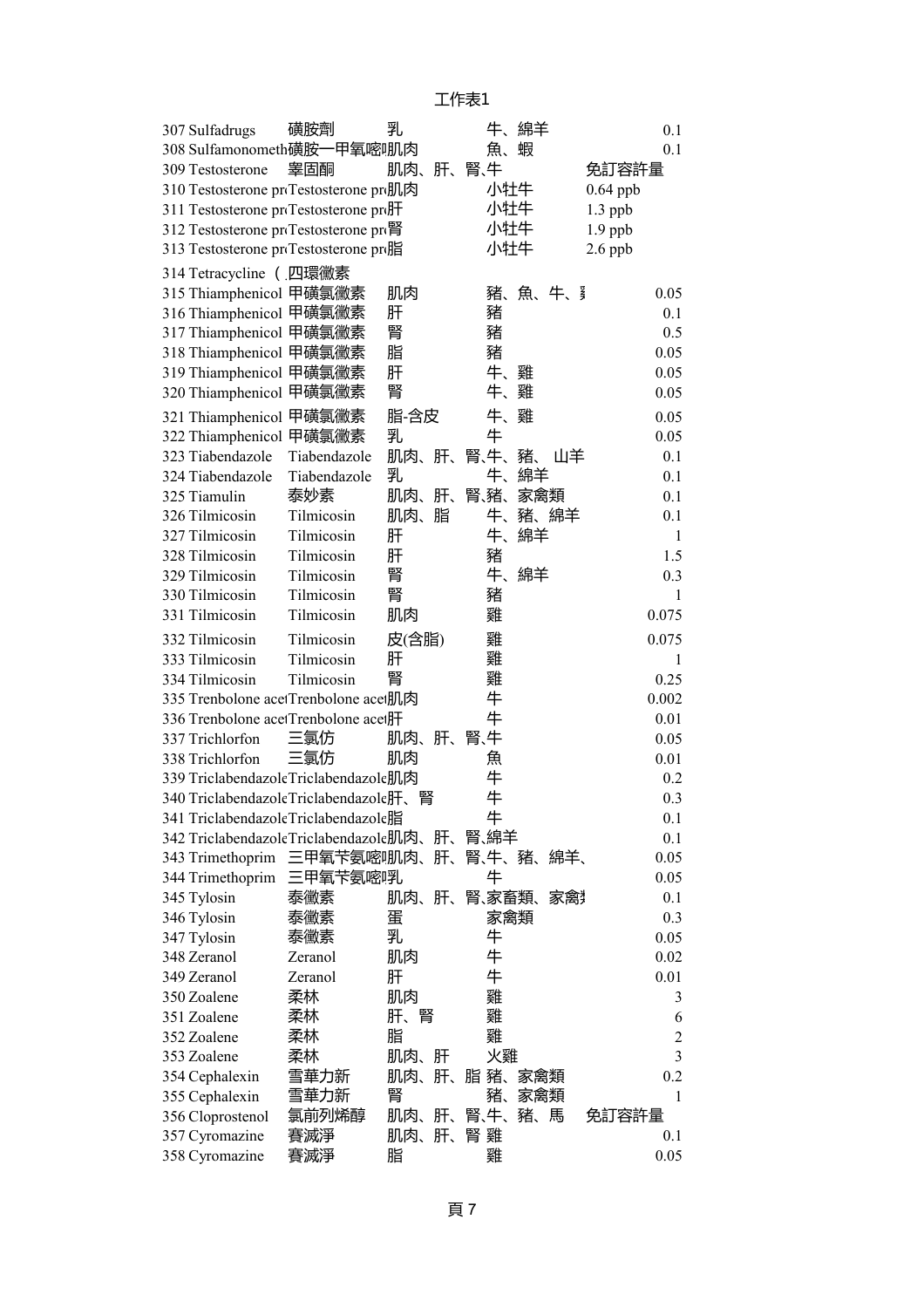| 307 Sulfadrugs                           | 磺胺劑          | 乳     |    |        | 牛、綿羊    | 0.1            |
|------------------------------------------|--------------|-------|----|--------|---------|----------------|
| 308 Sulfamonometh磺胺一甲氧嘧啡瓜肉               |              |       |    | 魚、     | 蝦       | 0.1            |
| 309 Testosterone                         | 睾固酮          | 肌肉、肝、 |    | 腎、牛    |         | 免訂容許量          |
| 310 Testosterone proTestosterone pro肌肉   |              |       |    | 小牡牛    |         | $0.64$ ppb     |
| 311 Testosterone proTestosterone pro     |              |       |    | 小牡牛    |         | $1.3$ ppb      |
| 312 Testosterone proTestosterone pre腎    |              |       |    | 小牡牛    |         | $1.9$ ppb      |
| 313 Testosterone proTestosterone pro脂    |              |       |    | 小牡牛    |         | $2.6$ ppb      |
| 314 Tetracycline (四環黴素                   |              |       |    |        |         |                |
| 315 Thiamphenicol 甲磺氯黴素                  |              | 肌肉    |    |        | 豬、魚、牛、犭 | 0.05           |
| 316 Thiamphenicol 甲磺氯黴素                  |              | 肝     |    | 豬      |         | 0.1            |
| 317 Thiamphenicol 甲磺氯黴素                  |              | 腎     |    | 豬      |         | 0.5            |
| 318 Thiamphenicol 甲磺氯黴素                  |              | 脂     |    | 豬      |         | 0.05           |
| 319 Thiamphenicol 甲磺氯黴素                  |              | 肝     |    | 牛、     | 雞       | 0.05           |
| 320 Thiamphenicol 甲磺氯黴素                  |              | 腎     |    | 牛、     | 雞       | 0.05           |
| 321 Thiamphenicol 甲磺氯黴素                  |              | 脂-含皮  |    | 牛、雞    |         | 0.05           |
| 322 Thiamphenicol 甲磺氯黴素                  |              | 乳     |    | 牛      |         | 0.05           |
| 323 Tiabendazole                         | Tiabendazole | 肌肉、肝、 |    | 腎、牛、豬、 | 山羊      | 0.1            |
| 324 Tiabendazole                         | Tiabendazole | 乳     |    | 牛、     | 綿羊      | 0.1            |
| 325 Tiamulin                             | 泰妙素          | 肌肉、肝、 |    | 腎、豬、   | 家禽類     | 0.1            |
| 326 Tilmicosin                           | Tilmicosin   | 肌肉、脂  |    | 牛、     | 豬、綿羊    | 0.1            |
| 327 Tilmicosin                           | Tilmicosin   | 肝     |    | 牛、     | 綿羊      | $\mathbf{1}$   |
| 328 Tilmicosin                           | Tilmicosin   | 肝     |    | 豬      |         | 1.5            |
| 329 Tilmicosin                           | Tilmicosin   | 腎     |    |        | 牛、綿羊    | 0.3            |
| 330 Tilmicosin                           | Tilmicosin   | 腎     |    | 豬      |         | 1              |
| 331 Tilmicosin                           | Tilmicosin   | 肌肉    |    | 雞      |         | 0.075          |
| 332 Tilmicosin                           | Tilmicosin   | 皮(含脂) |    | 雞      |         | 0.075          |
| 333 Tilmicosin                           | Tilmicosin   | 肝     |    | 雞      |         | 1              |
| 334 Tilmicosin                           | Tilmicosin   | 腎     |    | 雞      |         | 0.25           |
| 335 Trenbolone acetTrenbolone acet肌肉     |              |       |    | 牛      |         | 0.002          |
| 336 Trenbolone acetTrenbolone acet肝      |              |       |    | 牛      |         | 0.01           |
| 337 Trichlorfon                          | 三氯仿          | 肌肉、   | 肝、 | 腎、牛    |         | 0.05           |
| 338 Trichlorfon                          | 三氯仿          | 肌肉    |    | 魚      |         | 0.01           |
| 339 Triclabendazole Triclabendazole肌肉    |              |       |    | 牛      |         | 0.2            |
| 340 Triclabendazole Triclabendazole肝、    |              |       |    | 牛      |         | 0.3            |
| 341 Triclabendazole Triclabendazole脂     |              |       |    | 牛      |         | 0.1            |
| 342 Triclabendazole Triclabendazole肌肉、肝、 |              |       |    | 腎、綿羊   |         | 0.1            |
| 343 Trimethoprim                         | 三甲氧苄氨嘧啡肌肉、   |       | 肝、 | 腎、牛、豬、 | 綿羊、     | 0.05           |
| 344 Trimethoprim                         | 三甲氧苄氨嘧呼孔     |       |    | 牛      |         | 0.05           |
| 345 Tylosin                              | 泰黴素          | 肌肉、肝、 |    | 腎、家畜類、 | 冢篱      | 0.1            |
| 346 Tylosin                              | 泰黴素          | 蛋     |    | 家禽類    |         | 0.3            |
| 347 Tylosin                              | 泰黴素          | 乳     |    | 牛      |         | 0.05           |
| 348 Zeranol                              | Zeranol      | 肌肉    |    | 牛      |         | 0.02           |
| 349 Zeranol                              | Zeranol      | 肝     |    | 牛      |         | 0.01           |
| 350 Zoalene                              | 柔林           | 肌肉    |    | 雞      |         | 3              |
| 351 Zoalene                              | 柔林           | 肝、腎   |    | 雞      |         | 6              |
| 352 Zoalene                              | 柔林           | 脂     |    | 雞      |         | $\overline{2}$ |
| 353 Zoalene                              | 柔林           | 肌肉、   | 肝  | 火雞     |         | 3              |
| 354 Cephalexin                           | 雪華力新         | 肌肉、   | 肝、 | 脂豬、    | 家禽類     | 0.2            |
| 355 Cephalexin                           | 雪華力新         | 腎     |    | 豬、     | 家禽類     | 1              |
| 356 Cloprostenol                         | 氯前列烯醇        | 肌肉、肝、 |    | 腎、牛、   | 豬、<br>馬 | 免訂容許量          |
| 357 Cyromazine                           | 賽滅淨          | 肌肉、   | 肝、 | 腎 雞    |         | 0.1            |
| 358 Cyromazine                           | 賽滅淨          | 脂     |    | 雞      |         | 0.05           |